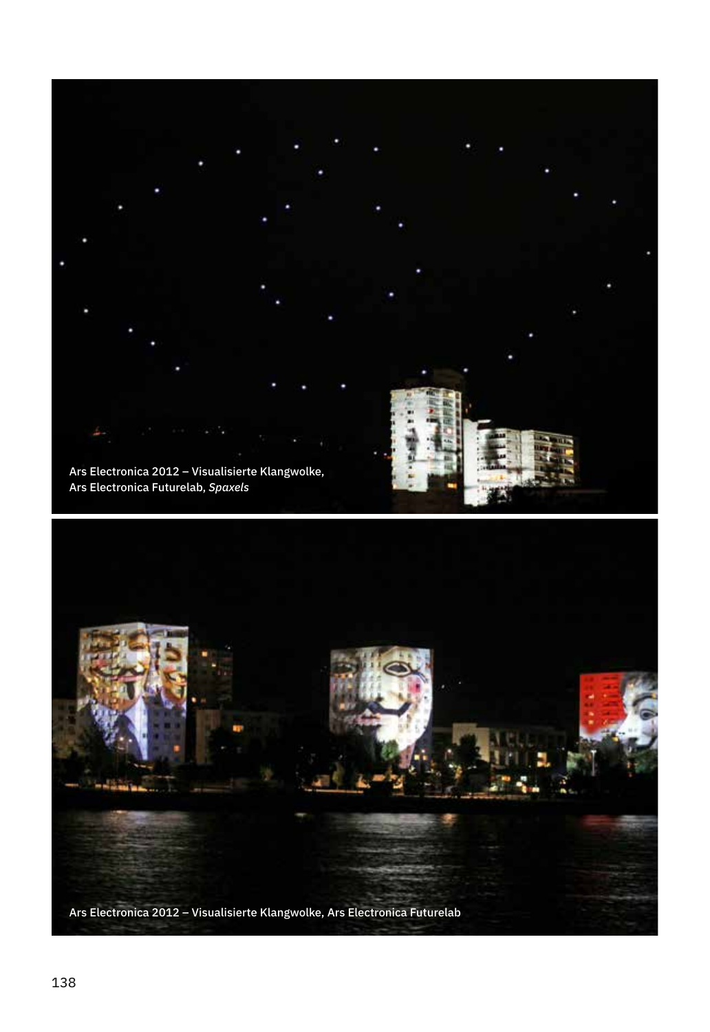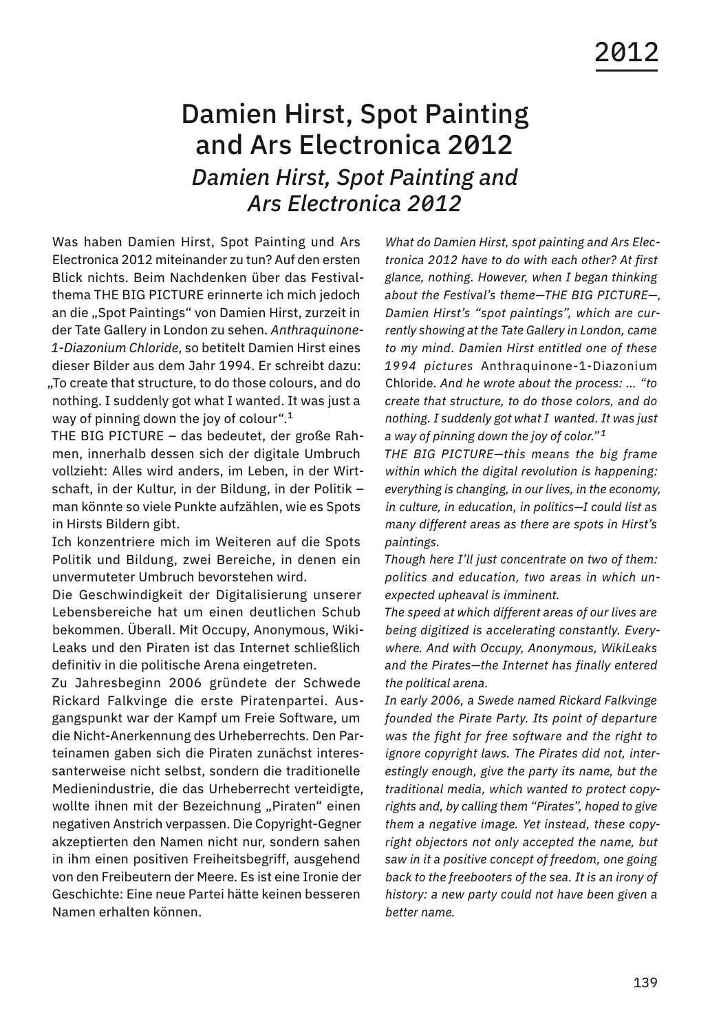## Damien Hirst, Spot Painting and Ars Electronica 2012 *Damien Hirst, Spot Painting and Ars Electronica 2012*

Was haben Damien Hirst, Spot Painting und Ars Electronica 2012 miteinander zu tun? Auf den ersten Blick nichts. Beim Nachdenken über das Festivalthema THE BIG PICTURE erinnerte ich mich jedoch an die "Spot Paintings" von Damien Hirst, zurzeit in der Tate Gallery in London zu sehen. *Anthraquinone-1-Diazonium Chloride*, so betitelt Damien Hirst eines dieser Bilder aus dem Jahr 1994. Er schreibt dazu: "To create that structure, to do those colours, and do nothing. I suddenly got what I wanted. It was just a way of pinning down the joy of colour".<sup>1</sup>

THE BIG PICTURE – das bedeutet, der große Rahmen, innerhalb dessen sich der digitale Umbruch vollzieht: Alles wird anders, im Leben, in der Wirtschaft, in der Kultur, in der Bildung, in der Politik – man könnte so viele Punkte aufzählen, wie es Spots in Hirsts Bildern gibt.

Ich konzentriere mich im Weiteren auf die Spots Politik und Bildung, zwei Bereiche, in denen ein unvermuteter Umbruch bevorstehen wird.

Die Geschwindigkeit der Digitalisierung unserer Lebensbereiche hat um einen deutlichen Schub bekommen. Überall. Mit Occupy, Anonymous, Wiki-Leaks und den Piraten ist das Internet schließlich definitiv in die politische Arena eingetreten.

Zu Jahresbeginn 2006 gründete der Schwede Rickard Falkvinge die erste Piratenpartei. Ausgangspunkt war der Kampf um Freie Software, um die Nicht-Anerkennung des Urheberrechts. Den Parteinamen gaben sich die Piraten zunächst interessanterweise nicht selbst, sondern die traditionelle Medienindustrie, die das Urheberrecht verteidigte, wollte ihnen mit der Bezeichnung "Piraten" einen negativen Anstrich verpassen. Die Copyright-Gegner akzeptierten den Namen nicht nur, sondern sahen in ihm einen positiven Freiheitsbegriff, ausgehend von den Freibeutern der Meere. Es ist eine Ironie der Geschichte: Eine neue Partei hätte keinen besseren Namen erhalten können.

*What do Damien Hirst, spot painting and Ars Electronica 2012 have to do with each other? At first glance, nothing. However, when I began thinking about the Festival's theme—THE BIG PICTURE—, Damien Hirst's "spot paintings", which are currently showing at the Tate Gallery in London, came to my mind. Damien Hirst entitled one of these 1994 pictures* Anthraquinone-1-Diazonium Chloride. *And he wrote about the process: … "to create that structure, to do those colors, and do nothing. I suddenly got what I wanted. It was just a way of pinning down the joy of color." <sup>1</sup>*

*THE BIG PICTURE—this means the big frame within which the digital revolution is happening: everything is changing, in our lives, in the economy, in culture, in education, in politics—I could list as many different areas as there are spots in Hirst's paintings.*

*Though here I'll just concentrate on two of them: politics and education, two areas in which unexpected upheaval is imminent.*

*The speed at which different areas of our lives are being digitized is accelerating constantly. Everywhere. And with Occupy, Anonymous, WikiLeaks and the Pirates—the Internet has finally entered the political arena.*

*In early 2006, a Swede named Rickard Falkvinge founded the Pirate Party. Its point of departure was the fight for free software and the right to ignore copyright laws. The Pirates did not, interestingly enough, give the party its name, but the traditional media, which wanted to protect copyrights and, by calling them "Pirates", hoped to give them a negative image. Yet instead, these copyright objectors not only accepted the name, but saw in it a positive concept of freedom, one going back to the freebooters of the sea. It is an irony of history: a new party could not have been given a better name.*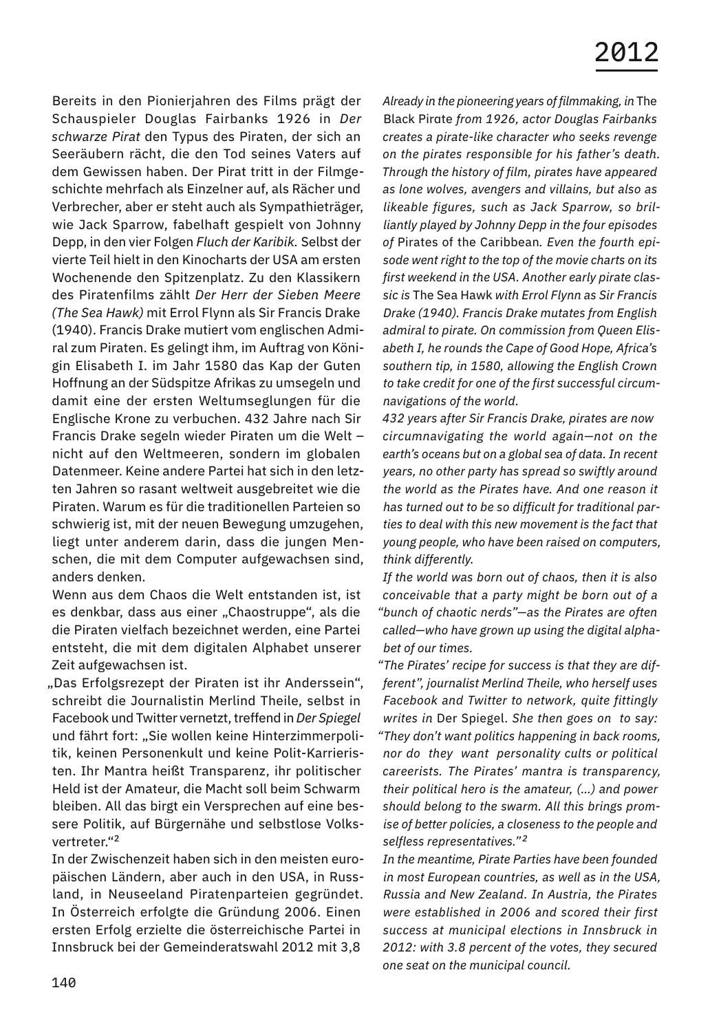Bereits in den Pionierjahren des Films prägt der Schauspieler Douglas Fairbanks 1926 in *Der schwarze Pirat* den Typus des Piraten, der sich an Seeräubern rächt, die den Tod seines Vaters auf dem Gewissen haben. Der Pirat tritt in der Filmgeschichte mehrfach als Einzelner auf, als Rächer und Verbrecher, aber er steht auch als Sympathieträger, wie Jack Sparrow, fabelhaft gespielt von Johnny Depp, in den vier Folgen *Fluch der Karibik.* Selbst der vierte Teil hielt in den Kinocharts der USA am ersten Wochenende den Spitzenplatz. Zu den Klassikern des Piratenfilms zählt *Der Herr der Sieben Meere (The Sea Hawk)* mit Errol Flynn als Sir Francis Drake (1940). Francis Drake mutiert vom englischen Admiral zum Piraten. Es gelingt ihm, im Auftrag von Königin Elisabeth I. im Jahr 1580 das Kap der Guten Hoffnung an der Südspitze Afrikas zu umsegeln und damit eine der ersten Weltumseglungen für die Englische Krone zu verbuchen. 432 Jahre nach Sir Francis Drake segeln wieder Piraten um die Welt – nicht auf den Weltmeeren, sondern im globalen Datenmeer. Keine andere Partei hat sich in den letzten Jahren so rasant weltweit ausgebreitet wie die Piraten. Warum es für die traditionellen Parteien so schwierig ist, mit der neuen Bewegung umzugehen, liegt unter anderem darin, dass die jungen Menschen, die mit dem Computer aufgewachsen sind, anders denken.

Wenn aus dem Chaos die Welt entstanden ist, ist es denkbar, dass aus einer "Chaostruppe", als die die Piraten vielfach bezeichnet werden, eine Partei entsteht, die mit dem digitalen Alphabet unserer Zeit aufgewachsen ist.

"Das Erfolgsrezept der Piraten ist ihr Anderssein", schreibt die Journalistin Merlind Theile, selbst in Facebook und Twitter vernetzt, treffend in *Der Spiegel* und fährt fort: "Sie wollen keine Hinterzimmerpolitik, keinen Personenkult und keine Polit-Karrieristen. Ihr Mantra heißt Transparenz, ihr politischer Held ist der Amateur, die Macht soll beim Schwarm bleiben. All das birgt ein Versprechen auf eine bessere Politik, auf Bürgernähe und selbstlose Volksvertreter."<sup>2</sup>

In der Zwischenzeit haben sich in den meisten europäischen Ländern, aber auch in den USA, in Russland, in Neuseeland Piratenparteien gegründet. In Österreich erfolgte die Gründung 2006. Einen ersten Erfolg erzielte die österreichische Partei in Innsbruck bei der Gemeinderatswahl 2012 mit 3,8

*Already in the pioneering years of filmmaking, in* The Black Pirate *from 1926, actor Douglas Fairbanks creates a pirate-like character who seeks revenge on the pirates responsible for his father's death. Through the history of film, pirates have appeared as lone wolves, avengers and villains, but also as likeable figures, such as Jack Sparrow, so brilliantly played by Johnny Depp in the four episodes of* Pirates of the Caribbean*. Even the fourth episode went right to the top of the movie charts on its first weekend in the USA. Another early pirate classic is* The Sea Hawk *with Errol Flynn as Sir Francis Drake (1940). Francis Drake mutates from English admiral to pirate. On commission from Queen Elisabeth I, he rounds the Cape of Good Hope, Africa's southern tip, in 1580, allowing the English Crown to take credit for one of the first successful circumnavigations of the world.*

*432 years after Sir Francis Drake, pirates are now circumnavigating the world again—not on the earth's oceans but on a global sea of data. In recent years, no other party has spread so swiftly around the world as the Pirates have. And one reason it has turned out to be so difficult for traditional parties to deal with this new movement is the fact that young people, who have been raised on computers, think differently.*

*If the world was born out of chaos, then it is also conceivable that a party might be born out of a "bunch of chaotic nerds"—as the Pirates are often called—who have grown up using the digital alphabet of our times.*

*"The Pirates' recipe for success is that they are different", journalist Merlind Theile, who herself uses Facebook and Twitter to network, quite fittingly writes in* Der Spiegel. *She then goes on to say: "They don't want politics happening in back rooms, nor do they want personality cults or political careerists. The Pirates' mantra is transparency, their political hero is the amateur, (…) and power should belong to the swarm. All this brings promise of better policies, a closeness to the people and selfless representatives." <sup>2</sup>*

*In the meantime, Pirate Parties have been founded in most European countries, as well as in the USA, Russia and New Zealand. In Austria, the Pirates were established in 2006 and scored their first success at municipal elections in Innsbruck in 2012: with 3.8 percent of the votes, they secured one seat on the municipal council.*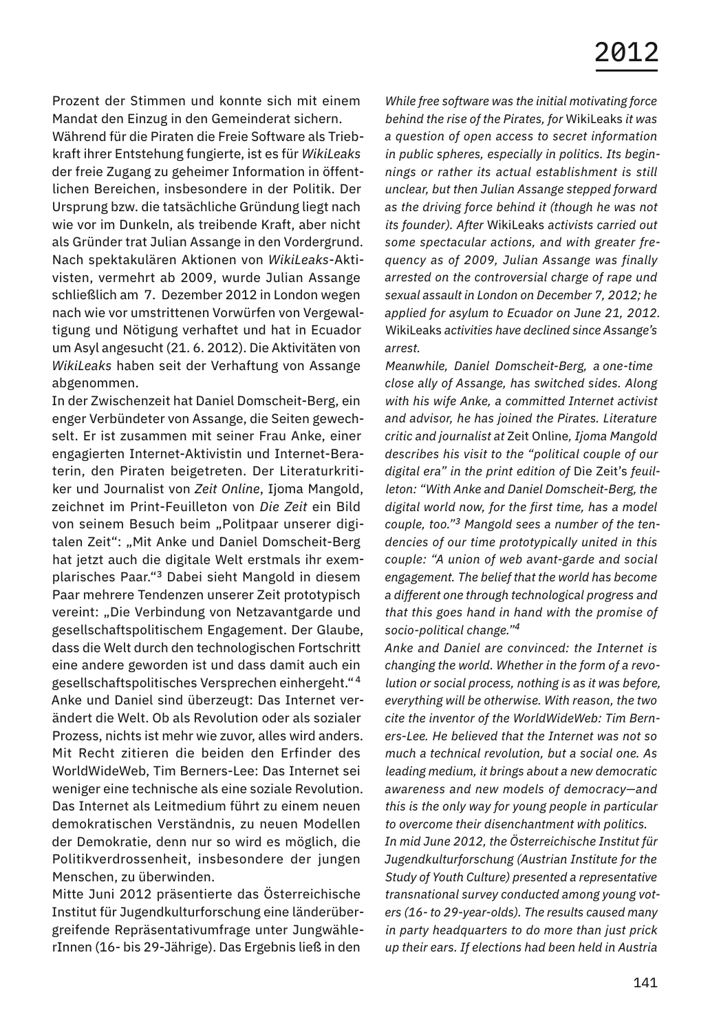Prozent der Stimmen und konnte sich mit einem Mandat den Einzug in den Gemeinderat sichern.

Während für die Piraten die Freie Software als Triebkraft ihrer Entstehung fungierte, ist es für *WikiLeaks*  der freie Zugang zu geheimer Information in öffentlichen Bereichen, insbesondere in der Politik. Der Ursprung bzw. die tatsächliche Gründung liegt nach wie vor im Dunkeln, als treibende Kraft, aber nicht als Gründer trat Julian Assange in den Vordergrund. Nach spektakulären Aktionen von *WikiLeaks*-Aktivisten, vermehrt ab 2009, wurde Julian Assange schließlich am 7. Dezember 2012 in London wegen nach wie vor umstrittenen Vorwürfen von Vergewaltigung und Nötigung verhaftet und hat in Ecuador um Asyl angesucht (21. 6. 2012). Die Aktivitäten von *WikiLeaks* haben seit der Verhaftung von Assange abgenommen.

In der Zwischenzeit hat Daniel Domscheit-Berg, ein enger Verbündeter von Assange, die Seiten gewechselt. Er ist zusammen mit seiner Frau Anke, einer engagierten Internet-Aktivistin und Internet-Beraterin, den Piraten beigetreten. Der Literaturkritiker und Journalist von *Zeit Online*, Ijoma Mangold, zeichnet im Print-Feuilleton von *Die Zeit* ein Bild von seinem Besuch beim "Politpaar unserer digitalen Zeit": "Mit Anke und Daniel Domscheit-Berg hat jetzt auch die digitale Welt erstmals ihr exemplarisches Paar."<sup>3</sup> Dabei sieht Mangold in diesem Paar mehrere Tendenzen unserer Zeit prototypisch vereint: "Die Verbindung von Netzavantgarde und gesellschaftspolitischem Engagement. Der Glaube, dass die Welt durch den technologischen Fortschritt eine andere geworden ist und dass damit auch ein gesellschaftspolitisches Versprechen einhergeht." <sup>4</sup> Anke und Daniel sind überzeugt: Das Internet verändert die Welt. Ob als Revolution oder als sozialer Prozess, nichts ist mehr wie zuvor, alles wird anders. Mit Recht zitieren die beiden den Erfinder des WorldWideWeb, Tim Berners-Lee: Das Internet sei weniger eine technische als eine soziale Revolution. Das Internet als Leitmedium führt zu einem neuen demokratischen Verständnis, zu neuen Modellen der Demokratie, denn nur so wird es möglich, die Politikverdrossenheit, insbesondere der jungen Menschen, zu überwinden.

Mitte Juni 2012 präsentierte das Österreichische Institut für Jugendkulturforschung eine länderübergreifende Repräsentativumfrage unter JungwählerInnen (16- bis 29-Jährige). Das Ergebnis ließ in den

*While free software was the initial motivating force behind the rise of the Pirates, for* WikiLeaks *it was a question of open access to secret information in public spheres, especially in politics. Its beginnings or rather its actual establishment is still unclear, but then Julian Assange stepped forward as the driving force behind it (though he was not its founder). After* WikiLeaks *activists carried out some spectacular actions, and with greater frequency as of 2009, Julian Assange was finally arrested on the controversial charge of rape und sexual assault in London on December 7, 2012; he applied for asylum to Ecuador on June 21, 2012.*  WikiLeaks *activities have declined since Assange's arrest.*

*Meanwhile, Daniel Domscheit-Berg, a one-time close ally of Assange, has switched sides. Along with his wife Anke, a committed Internet activist and advisor, he has joined the Pirates. Literature critic and journalist at* Zeit Online*, Ijoma Mangold describes his visit to the "political couple of our digital era" in the print edition of* Die Zeit's *feuilleton: "With Anke and Daniel Domscheit-Berg, the digital world now, for the first time, has a model couple, too."3 Mangold sees a number of the tendencies of our time prototypically united in this couple: "A union of web avant-garde and social engagement. The belief that the world has become a different one through technological progress and that this goes hand in hand with the promise of socio-political change."<sup>4</sup>*

*Anke and Daniel are convinced: the Internet is changing the world. Whether in the form of a revolution or social process, nothing is as it was before, everything will be otherwise. With reason, the two cite the inventor of the WorldWideWeb: Tim Berners-Lee. He believed that the Internet was not so much a technical revolution, but a social one. As leading medium, it brings about a new democratic awareness and new models of democracy—and this is the only way for young people in particular to overcome their disenchantment with politics. In mid June 2012, the Österreichische Institut für Jugendkulturforschung (Austrian Institute for the Study of Youth Culture) presented a representative transnational survey conducted among young voters (16- to 29-year-olds). The results caused many* 

*in party headquarters to do more than just prick up their ears. If elections had been held in Austria*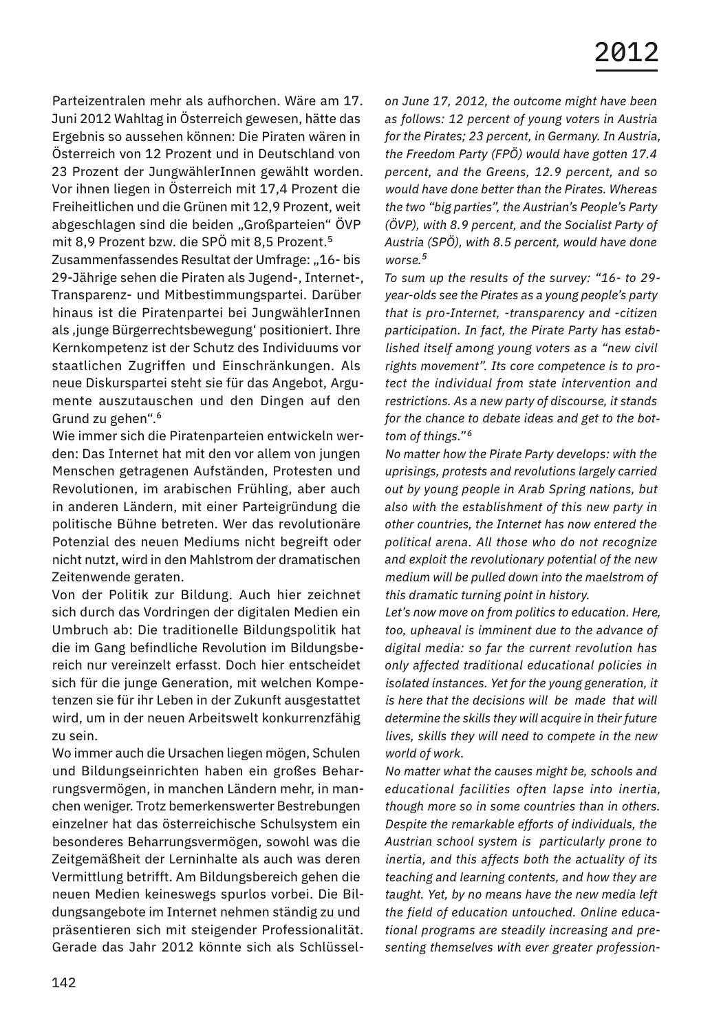Parteizentralen mehr als aufhorchen. Wäre am 17. Juni 2012 Wahltag in Österreich gewesen, hätte das Ergebnis so aussehen können: Die Piraten wären in Österreich von 12 Prozent und in Deutschland von 23 Prozent der JungwählerInnen gewählt worden. Vor ihnen liegen in Österreich mit 17,4 Prozent die Freiheitlichen und die Grünen mit 12,9 Prozent, weit abgeschlagen sind die beiden "Großparteien" ÖVP mit 8,9 Prozent bzw. die SPÖ mit 8,5 Prozent.<sup>5</sup>

Zusammenfassendes Resultat der Umfrage: "16- bis 29-Jährige sehen die Piraten als Jugend-, Internet-, Transparenz- und Mitbestimmungspartei. Darüber hinaus ist die Piratenpartei bei JungwählerInnen als , junge Bürgerrechtsbewegung' positioniert. Ihre Kernkompetenz ist der Schutz des Individuums vor staatlichen Zugriffen und Einschränkungen. Als neue Diskurspartei steht sie für das Angebot, Argumente auszutauschen und den Dingen auf den Grund zu gehen".<sup>6</sup>

Wie immer sich die Piratenparteien entwickeln werden: Das Internet hat mit den vor allem von jungen Menschen getragenen Aufständen, Protesten und Revolutionen, im arabischen Frühling, aber auch in anderen Ländern, mit einer Parteigründung die politische Bühne betreten. Wer das revolutionäre Potenzial des neuen Mediums nicht begreift oder nicht nutzt, wird in den Mahlstrom der dramatischen Zeitenwende geraten.

Von der Politik zur Bildung. Auch hier zeichnet sich durch das Vordringen der digitalen Medien ein Umbruch ab: Die traditionelle Bildungspolitik hat die im Gang befindliche Revolution im Bildungsbereich nur vereinzelt erfasst. Doch hier entscheidet sich für die junge Generation, mit welchen Kompetenzen sie für ihr Leben in der Zukunft ausgestattet wird, um in der neuen Arbeitswelt konkurrenzfähig zu sein.

Wo immer auch die Ursachen liegen mögen, Schulen und Bildungseinrichten haben ein großes Beharrungsvermögen, in manchen Ländern mehr, in manchen weniger. Trotz bemerkenswerter Bestrebungen einzelner hat das österreichische Schulsystem ein besonderes Beharrungsvermögen, sowohl was die Zeitgemäßheit der Lerninhalte als auch was deren Vermittlung betrifft. Am Bildungsbereich gehen die neuen Medien keineswegs spurlos vorbei. Die Bildungsangebote im Internet nehmen ständig zu und präsentieren sich mit steigender Professionalität. Gerade das Jahr 2012 könnte sich als Schlüssel-

*on June 17, 2012, the outcome might have been as follows: 12 percent of young voters in Austria for the Pirates; 23 percent, in Germany. In Austria, the Freedom Party (FPÖ) would have gotten 17.4 percent, and the Greens, 12.9 percent, and so would have done better than the Pirates. Whereas the two "big parties", the Austrian's People's Party (ÖVP), with 8.9 percent, and the Socialist Party of Austria (SPÖ), with 8.5 percent, would have done worse.<sup>5</sup>*

*To sum up the results of the survey: "16- to 29 year-olds see the Pirates as a young people's party that is pro-Internet, -transparency and -citizen participation. In fact, the Pirate Party has established itself among young voters as a "new civil rights movement". Its core competence is to protect the individual from state intervention and restrictions. As a new party of discourse, it stands for the chance to debate ideas and get to the bottom of things." <sup>6</sup>*

*No matter how the Pirate Party develops: with the uprisings, protests and revolutions largely carried out by young people in Arab Spring nations, but also with the establishment of this new party in other countries, the Internet has now entered the political arena. All those who do not recognize and exploit the revolutionary potential of the new medium will be pulled down into the maelstrom of this dramatic turning point in history.*

*Let's now move on from politics to education. Here, too, upheaval is imminent due to the advance of digital media: so far the current revolution has only affected traditional educational policies in isolated instances. Yet for the young generation, it is here that the decisions will be made that will determine the skills they will acquire in their future lives, skills they will need to compete in the new world of work.*

*No matter what the causes might be, schools and educational facilities often lapse into inertia, though more so in some countries than in others. Despite the remarkable efforts of individuals, the Austrian school system is particularly prone to inertia, and this affects both the actuality of its teaching and learning contents, and how they are taught. Yet, by no means have the new media left the field of education untouched. Online educational programs are steadily increasing and presenting themselves with ever greater profession-*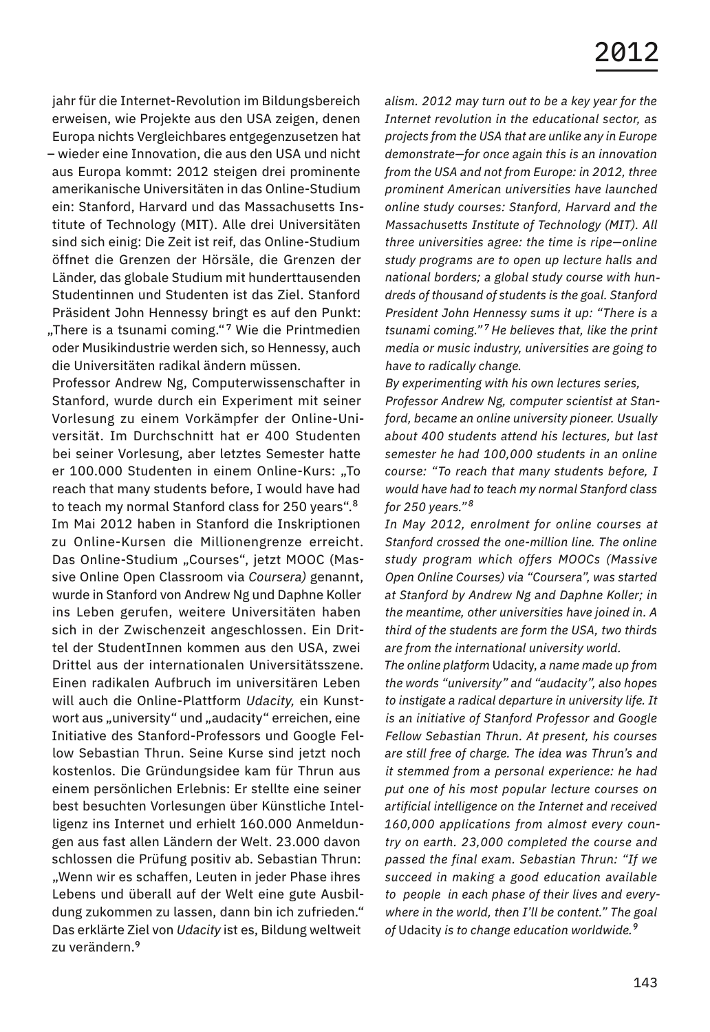jahr für die Internet-Revolution im Bildungsbereich erweisen, wie Projekte aus den USA zeigen, denen Europa nichts Vergleichbares entgegenzusetzen hat – wieder eine Innovation, die aus den USA und nicht aus Europa kommt: 2012 steigen drei prominente amerikanische Universitäten in das Online-Studium ein: Stanford, Harvard und das Massachusetts Institute of Technology (MIT). Alle drei Universitäten sind sich einig: Die Zeit ist reif, das Online-Studium öffnet die Grenzen der Hörsäle, die Grenzen der Länder, das globale Studium mit hunderttausenden Studentinnen und Studenten ist das Ziel. Stanford Präsident John Hennessy bringt es auf den Punkt: "There is a tsunami coming."<sup>7</sup> Wie die Printmedien oder Musikindustrie werden sich, so Hennessy, auch die Universitäten radikal ändern müssen.

Professor Andrew Ng, Computerwissenschafter in Stanford, wurde durch ein Experiment mit seiner Vorlesung zu einem Vorkämpfer der Online-Universität. Im Durchschnitt hat er 400 Studenten bei seiner Vorlesung, aber letztes Semester hatte er 100.000 Studenten in einem Online-Kurs: "To reach that many students before, I would have had to teach my normal Stanford class for 250 years".<sup>8</sup> Im Mai 2012 haben in Stanford die Inskriptionen zu Online-Kursen die Millionengrenze erreicht. Das Online-Studium "Courses", jetzt MOOC (Massive Online Open Classroom via *Coursera)* genannt, wurde in Stanford von Andrew Ng und Daphne Koller ins Leben gerufen, weitere Universitäten haben sich in der Zwischenzeit angeschlossen. Ein Drittel der StudentInnen kommen aus den USA, zwei Drittel aus der internationalen Universitätsszene. Einen radikalen Aufbruch im universitären Leben will auch die Online-Plattform *Udacity,* ein Kunstwort aus "university" und "audacity" erreichen, eine Initiative des Stanford-Professors und Google Fellow Sebastian Thrun. Seine Kurse sind jetzt noch kostenlos. Die Gründungsidee kam für Thrun aus einem persönlichen Erlebnis: Er stellte eine seiner best besuchten Vorlesungen über Künstliche Intelligenz ins Internet und erhielt 160.000 Anmeldungen aus fast allen Ländern der Welt. 23.000 davon schlossen die Prüfung positiv ab. Sebastian Thrun: "Wenn wir es schaffen, Leuten in jeder Phase ihres Lebens und überall auf der Welt eine gute Ausbildung zukommen zu lassen, dann bin ich zufrieden." Das erklärte Ziel von *Udacity* ist es, Bildung weltweit zu verändern.<sup>9</sup>

*alism. 2012 may turn out to be a key year for the Internet revolution in the educational sector, as projects from the USA that are unlike any in Europe demonstrate—for once again this is an innovation from the USA and not from Europe: in 2012, three prominent American universities have launched online study courses: Stanford, Harvard and the Massachusetts Institute of Technology (MIT). All three universities agree: the time is ripe—online study programs are to open up lecture halls and national borders; a global study course with hundreds of thousand of students is the goal. Stanford President John Hennessy sums it up: "There is a tsunami coming." <sup>7</sup>He believes that, like the print media or music industry, universities are going to have to radically change.*

*By experimenting with his own lectures series, Professor Andrew Ng, computer scientist at Stanford, became an online university pioneer. Usually about 400 students attend his lectures, but last semester he had 100,000 students in an online course: "To reach that many students before, I would have had to teach my normal Stanford class for 250 years." <sup>8</sup>*

*In May 2012, enrolment for online courses at Stanford crossed the one-million line. The online study program which offers MOOCs (Massive Open Online Courses) via "Coursera", was started at Stanford by Andrew Ng and Daphne Koller; in the meantime, other universities have joined in. A third of the students are form the USA, two thirds are from the international university world.*

*The online platform* Udacity, *a name made up from the words "university" and "audacity", also hopes to instigate a radical departure in university life. It is an initiative of Stanford Professor and Google Fellow Sebastian Thrun. At present, his courses are still free of charge. The idea was Thrun's and it stemmed from a personal experience: he had put one of his most popular lecture courses on artificial intelligence on the Internet and received 160,000 applications from almost every country on earth. 23,000 completed the course and passed the final exam. Sebastian Thrun: "If we succeed in making a good education available to people in each phase of their lives and everywhere in the world, then I'll be content." The goal of* Udacity *is to change education worldwide.<sup>9</sup>*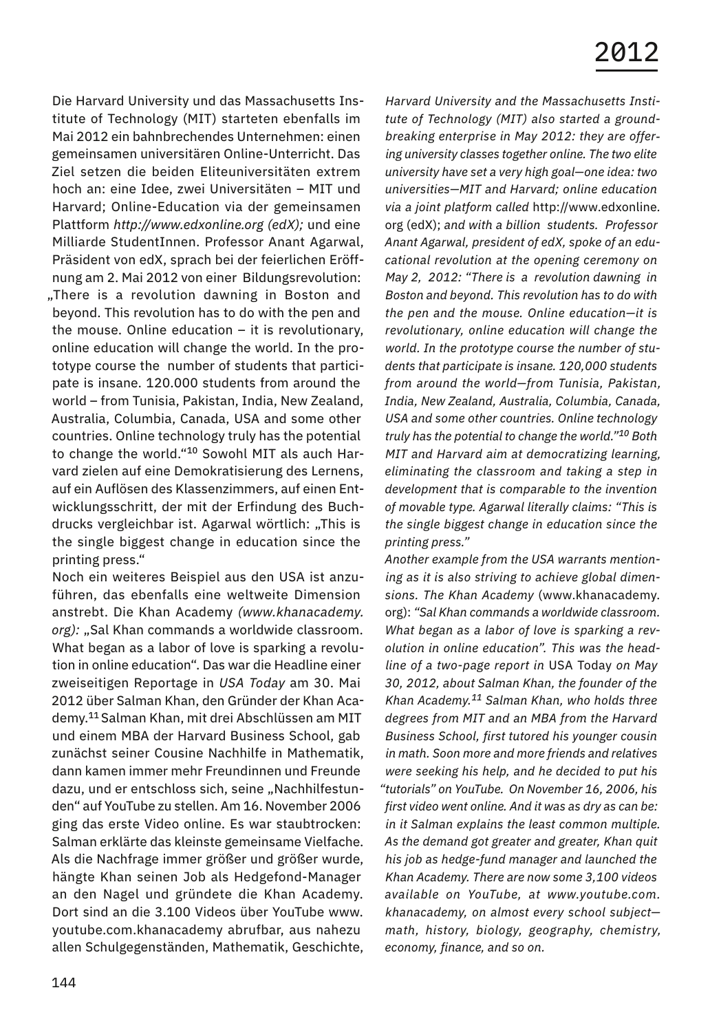Die Harvard University und das Massachusetts Institute of Technology (MIT) starteten ebenfalls im Mai 2012 ein bahnbrechendes Unternehmen: einen gemeinsamen universitären Online-Unterricht. Das Ziel setzen die beiden Eliteuniversitäten extrem hoch an: eine Idee, zwei Universitäten – MIT und Harvard; Online-Education via der gemeinsamen Plattform *http://www.edxonline.org (edX);* und eine Milliarde StudentInnen. Professor Anant Agarwal, Präsident von edX, sprach bei der feierlichen Eröffnung am 2. Mai 2012 von einer Bildungsrevolution: "There is a revolution dawning in Boston and beyond. This revolution has to do with the pen and the mouse. Online education – it is revolutionary, online education will change the world. In the prototype course the number of students that participate is insane. 120.000 students from around the world – from Tunisia, Pakistan, India, New Zealand, Australia, Columbia, Canada, USA and some other countries. Online technology truly has the potential to change the world."<sup>10</sup> Sowohl MIT als auch Harvard zielen auf eine Demokratisierung des Lernens, auf ein Auflösen des Klassenzimmers, auf einen Entwicklungsschritt, der mit der Erfindung des Buchdrucks vergleichbar ist. Agarwal wörtlich: "This is the single biggest change in education since the printing press."

Noch ein weiteres Beispiel aus den USA ist anzuführen, das ebenfalls eine weltweite Dimension anstrebt. Die Khan Academy *(www.khanacademy.* org): "Sal Khan commands a worldwide classroom. What began as a labor of love is sparking a revolution in online education". Das war die Headline einer zweiseitigen Reportage in *USA Today* am 30. Mai 2012 über Salman Khan, den Gründer der Khan Academy.<sup>11</sup> Salman Khan, mit drei Abschlüssen am MIT und einem MBA der Harvard Business School, gab zunächst seiner Cousine Nachhilfe in Mathematik, dann kamen immer mehr Freundinnen und Freunde dazu, und er entschloss sich, seine "Nachhilfestunden" auf YouTube zu stellen. Am 16. November 2006 ging das erste Video online. Es war staubtrocken: Salman erklärte das kleinste gemeinsame Vielfache. Als die Nachfrage immer größer und größer wurde, hängte Khan seinen Job als Hedgefond-Manager an den Nagel und gründete die Khan Academy. Dort sind an die 3.100 Videos über YouTube www. youtube.com.khanacademy abrufbar, aus nahezu allen Schulgegenständen, Mathematik, Geschichte,

*Harvard University and the Massachusetts Institute of Technology (MIT) also started a groundbreaking enterprise in May 2012: they are offering university classes together online. The two elite university have set a very high goal—one idea: two universities—MIT and Harvard; online education via a joint platform called* http://www.edxonline*.*  org (edX); *and with a billion students. Professor Anant Agarwal, president of edX, spoke of an educational revolution at the opening ceremony on May 2, 2012: "There is a revolution dawning in Boston and beyond. This revolution has to do with the pen and the mouse. Online education—it is revolutionary, online education will change the world. In the prototype course the number of students that participate is insane. 120,000 students from around the world—from Tunisia, Pakistan, India, New Zealand, Australia, Columbia, Canada, USA and some other countries. Online technology truly has the potential to change the world."10 Both MIT and Harvard aim at democratizing learning, eliminating the classroom and taking a step in development that is comparable to the invention of movable type. Agarwal literally claims: "This is the single biggest change in education since the printing press."*

*Another example from the USA warrants mentioning as it is also striving to achieve global dimensions. The Khan Academy* (www.khanacademy. org): *"Sal Khan commands a worldwide classroom. What began as a labor of love is sparking a revolution in online education". This was the headline of a two-page report in* USA Today *on May 30, 2012, about Salman Khan, the founder of the Khan Academy.11 Salman Khan, who holds three degrees from MIT and an MBA from the Harvard Business School, first tutored his younger cousin in math. Soon more and more friends and relatives were seeking his help, and he decided to put his "tutorials" on YouTube. On November 16, 2006, his first video went online. And it was as dry as can be: in it Salman explains the least common multiple. As the demand got greater and greater, Khan quit his job as hedge-fund manager and launched the Khan Academy. There are now some 3,100 videos available on YouTube, at www.youtube.com. khanacademy, on almost every school subject math, history, biology, geography, chemistry, economy, finance, and so on.*